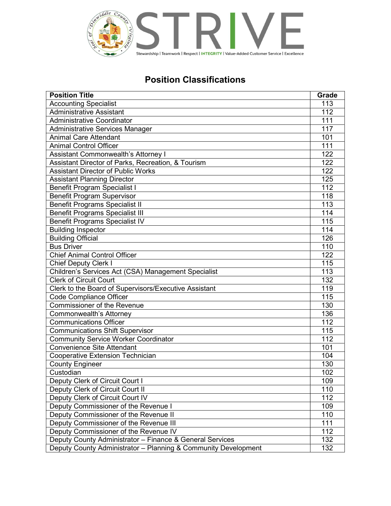

## Position Classifications

| <b>Position Title</b>                                          | <b>Grade</b>     |
|----------------------------------------------------------------|------------------|
| <b>Accounting Specialist</b>                                   | 113              |
| <b>Administrative Assistant</b>                                | 112              |
| <b>Administrative Coordinator</b>                              | 111              |
| Administrative Services Manager                                | $\overline{117}$ |
| <b>Animal Care Attendant</b>                                   | 101              |
| <b>Animal Control Officer</b>                                  | 111              |
| <b>Assistant Commonwealth's Attorney I</b>                     | 122              |
| Assistant Director of Parks, Recreation, & Tourism             | 122              |
| <b>Assistant Director of Public Works</b>                      | 122              |
| <b>Assistant Planning Director</b>                             | 125              |
| <b>Benefit Program Specialist I</b>                            | 112              |
| <b>Benefit Program Supervisor</b>                              | 118              |
| <b>Benefit Programs Specialist II</b>                          | 113              |
| <b>Benefit Programs Specialist III</b>                         | 114              |
| <b>Benefit Programs Specialist IV</b>                          | 115              |
| <b>Building Inspector</b>                                      | 114              |
| <b>Building Official</b>                                       | 126              |
| <b>Bus Driver</b>                                              | 110              |
| <b>Chief Animal Control Officer</b>                            | 122              |
| <b>Chief Deputy Clerk I</b>                                    | 115              |
| Children's Services Act (CSA) Management Specialist            | 113              |
| <b>Clerk of Circuit Court</b>                                  | 132              |
| Clerk to the Board of Supervisors/Executive Assistant          | 119              |
| Code Compliance Officer                                        | 115              |
| Commissioner of the Revenue                                    | 130              |
| Commonwealth's Attorney                                        | 136              |
| <b>Communications Officer</b>                                  | 112              |
| <b>Communications Shift Supervisor</b>                         | 115              |
| <b>Community Service Worker Coordinator</b>                    | 112              |
| <b>Convenience Site Attendant</b>                              | 101              |
| Cooperative Extension Technician                               | 104              |
| <b>County Engineer</b>                                         | 130              |
| Custodian                                                      | 102              |
| Deputy Clerk of Circuit Court I                                | 109              |
| Deputy Clerk of Circuit Court II                               | 110              |
| Deputy Clerk of Circuit Court IV                               | 112              |
| Deputy Commissioner of the Revenue I                           | 109              |
| Deputy Commissioner of the Revenue II                          | 110              |
| Deputy Commissioner of the Revenue III                         | 111              |
| Deputy Commissioner of the Revenue IV                          | 112              |
| Deputy County Administrator - Finance & General Services       | 132              |
| Deputy County Administrator - Planning & Community Development | 132              |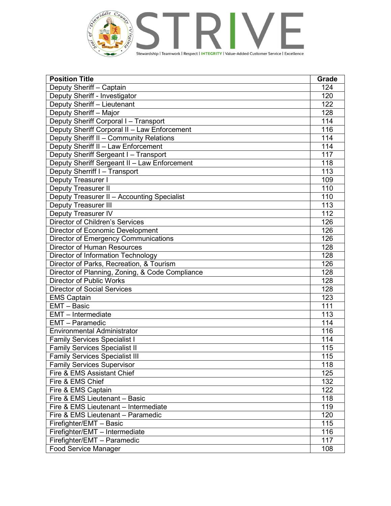

| <b>Position Title</b>                           | Grade            |
|-------------------------------------------------|------------------|
| Deputy Sheriff - Captain                        | 124              |
| Deputy Sheriff - Investigator                   | 120              |
| Deputy Sheriff - Lieutenant                     | 122              |
| Deputy Sheriff - Major                          | 128              |
| Deputy Sheriff Corporal I - Transport           | 114              |
| Deputy Sheriff Corporal II - Law Enforcement    | 116              |
| Deputy Sheriff II - Community Relations         | 114              |
| Deputy Sheriff II - Law Enforcement             | 114              |
| Deputy Sheriff Sergeant I - Transport           | 117              |
| Deputy Sheriff Sergeant II - Law Enforcement    | 118              |
| Deputy Sherriff I - Transport                   | 113              |
| Deputy Treasurer I                              | 109              |
| <b>Deputy Treasurer II</b>                      | 110              |
| Deputy Treasurer II - Accounting Specialist     | 110              |
| <b>Deputy Treasurer III</b>                     | 113              |
| Deputy Treasurer IV                             | $\overline{112}$ |
| <b>Director of Children's Services</b>          | 126              |
| Director of Economic Development                | 126              |
| <b>Director of Emergency Communications</b>     | 126              |
| <b>Director of Human Resources</b>              | 128              |
| Director of Information Technology              | 128              |
| Director of Parks, Recreation, & Tourism        | 126              |
| Director of Planning, Zoning, & Code Compliance | 128              |
| <b>Director of Public Works</b>                 | 128              |
| <b>Director of Social Services</b>              | 128              |
| <b>EMS Captain</b>                              | 123              |
| EMT - Basic                                     | 111              |
| EMT - Intermediate                              | 113              |
| <b>EMT</b> - Paramedic                          | 114              |
| <b>Environmental Administrator</b>              | 116              |
| <b>Family Services Specialist I</b>             | 114              |
| <b>Family Services Specialist II</b>            | 115              |
| <b>Family Services Specialist III</b>           | 115              |
| <b>Family Services Supervisor</b>               | 118              |
| Fire & EMS Assistant Chief                      | 125              |
| Fire & EMS Chief                                | 132              |
| Fire & EMS Captain                              | 122              |
| Fire & EMS Lieutenant - Basic                   | 118              |
| Fire & EMS Lieutenant - Intermediate            | 119              |
| Fire & EMS Lieutenant - Paramedic               | 120              |
| Firefighter/EMT - Basic                         | 115              |
| Firefighter/EMT - Intermediate                  | 116              |
| Firefighter/EMT - Paramedic                     | 117              |
| Food Service Manager                            | 108              |